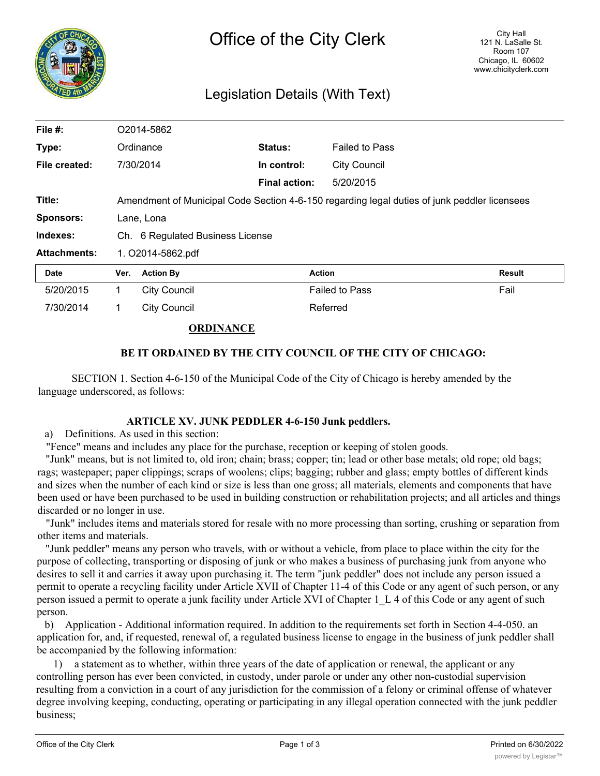

# Legislation Details (With Text)

| File #:             | O2014-5862                       |                                                                                              |                      |                       |               |  |
|---------------------|----------------------------------|----------------------------------------------------------------------------------------------|----------------------|-----------------------|---------------|--|
| Type:               |                                  | Ordinance                                                                                    | Status:              | <b>Failed to Pass</b> |               |  |
| File created:       |                                  | 7/30/2014                                                                                    | In control:          | <b>City Council</b>   |               |  |
|                     |                                  |                                                                                              | <b>Final action:</b> | 5/20/2015             |               |  |
| Title:              |                                  | Amendment of Municipal Code Section 4-6-150 regarding legal duties of junk peddler licensees |                      |                       |               |  |
| <b>Sponsors:</b>    | Lane, Lona                       |                                                                                              |                      |                       |               |  |
| Indexes:            | Ch. 6 Regulated Business License |                                                                                              |                      |                       |               |  |
| <b>Attachments:</b> | 1. O2014-5862.pdf                |                                                                                              |                      |                       |               |  |
| <b>Date</b>         | Ver.                             | <b>Action By</b>                                                                             | <b>Action</b>        |                       | <b>Result</b> |  |
| 5/20/2015           | 1.                               | <b>City Council</b>                                                                          |                      | <b>Failed to Pass</b> | Fail          |  |
| 7/30/2014           |                                  | <b>City Council</b>                                                                          |                      | Referred              |               |  |

## **ORDINANCE**

## **BE IT ORDAINED BY THE CITY COUNCIL OF THE CITY OF CHICAGO:**

SECTION 1. Section 4-6-150 of the Municipal Code of the City of Chicago is hereby amended by the language underscored, as follows:

#### **ARTICLE XV. JUNK PEDDLER 4-6-150 Junk peddlers.**

a) Definitions. As used in this section:

"Fence" means and includes any place for the purchase, reception or keeping of stolen goods.

"Junk" means, but is not limited to, old iron; chain; brass; copper; tin; lead or other base metals; old rope; old bags; rags; wastepaper; paper clippings; scraps of woolens; clips; bagging; rubber and glass; empty bottles of different kinds and sizes when the number of each kind or size is less than one gross; all materials, elements and components that have been used or have been purchased to be used in building construction or rehabilitation projects; and all articles and things discarded or no longer in use.

"Junk" includes items and materials stored for resale with no more processing than sorting, crushing or separation from other items and materials.

"Junk peddler" means any person who travels, with or without a vehicle, from place to place within the city for the purpose of collecting, transporting or disposing of junk or who makes a business of purchasing junk from anyone who desires to sell it and carries it away upon purchasing it. The term "junk peddler" does not include any person issued a permit to operate a recycling facility under Article XVII of Chapter 11-4 of this Code or any agent of such person, or any person issued a permit to operate a junk facility under Article XVI of Chapter 1\_L 4 of this Code or any agent of such person.

b) Application - Additional information required. In addition to the requirements set forth in Section 4-4-050. an application for, and, if requested, renewal of, a regulated business license to engage in the business of junk peddler shall be accompanied by the following information:

1) a statement as to whether, within three years of the date of application or renewal, the applicant or any controlling person has ever been convicted, in custody, under parole or under any other non-custodial supervision resulting from a conviction in a court of any jurisdiction for the commission of a felony or criminal offense of whatever degree involving keeping, conducting, operating or participating in any illegal operation connected with the junk peddler business;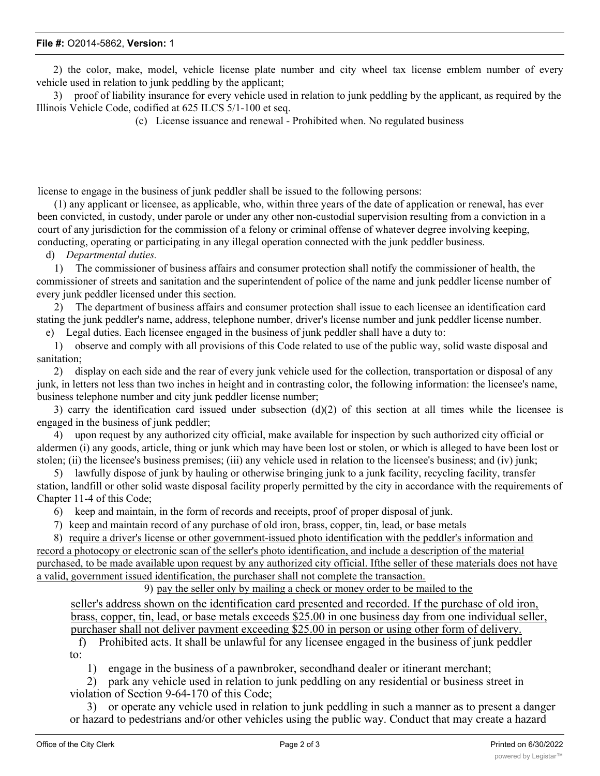#### **File #:** O2014-5862, **Version:** 1

2) the color, make, model, vehicle license plate number and city wheel tax license emblem number of every vehicle used in relation to junk peddling by the applicant;

3) proof of liability insurance for every vehicle used in relation to junk peddling by the applicant, as required by the Illinois Vehicle Code, codified at 625 ILCS 5/1-100 et seq.

(c) License issuance and renewal - Prohibited when. No regulated business

license to engage in the business of junk peddler shall be issued to the following persons:

(1) any applicant or licensee, as applicable, who, within three years of the date of application or renewal, has ever been convicted, in custody, under parole or under any other non-custodial supervision resulting from a conviction in a court of any jurisdiction for the commission of a felony or criminal offense of whatever degree involving keeping, conducting, operating or participating in any illegal operation connected with the junk peddler business.

d) *Departmental duties.*

1) The commissioner of business affairs and consumer protection shall notify the commissioner of health, the commissioner of streets and sanitation and the superintendent of police of the name and junk peddler license number of every junk peddler licensed under this section.

2) The department of business affairs and consumer protection shall issue to each licensee an identification card stating the junk peddler's name, address, telephone number, driver's license number and junk peddler license number. e) Legal duties. Each licensee engaged in the business of junk peddler shall have a duty to:

1) observe and comply with all provisions of this Code related to use of the public way, solid waste disposal and sanitation;

2) display on each side and the rear of every junk vehicle used for the collection, transportation or disposal of any junk, in letters not less than two inches in height and in contrasting color, the following information: the licensee's name, business telephone number and city junk peddler license number;

3) carry the identification card issued under subsection (d)(2) of this section at all times while the licensee is engaged in the business of junk peddler;

4) upon request by any authorized city official, make available for inspection by such authorized city official or aldermen (i) any goods, article, thing or junk which may have been lost or stolen, or which is alleged to have been lost or stolen; (ii) the licensee's business premises; (iii) any vehicle used in relation to the licensee's business; and (iv) junk;

5) lawfully dispose of junk by hauling or otherwise bringing junk to a junk facility, recycling facility, transfer station, landfill or other solid waste disposal facility properly permitted by the city in accordance with the requirements of Chapter 11-4 of this Code;

6) keep and maintain, in the form of records and receipts, proof of proper disposal of junk.

7) keep and maintain record of any purchase of old iron, brass, copper, tin, lead, or base metals

8) require a driver's license or other government-issued photo identification with the peddler's information and record a photocopy or electronic scan of the seller's photo identification, and include a description of the material purchased, to be made available upon request by any authorized city official. Ifthe seller of these materials does not have a valid, government issued identification, the purchaser shall not complete the transaction.

9) pay the seller only by mailing a check or money order to be mailed to the

seller's address shown on the identification card presented and recorded. If the purchase of old iron, brass, copper, tin, lead, or base metals exceeds \$25.00 in one business day from one individual seller, purchaser shall not deliver payment exceeding \$25.00 in person or using other form of delivery.

f) Prohibited acts. It shall be unlawful for any licensee engaged in the business of junk peddler to:

1) engage in the business of a pawnbroker, secondhand dealer or itinerant merchant;

2) park any vehicle used in relation to junk peddling on any residential or business street in violation of Section 9-64-170 of this Code;

3) or operate any vehicle used in relation to junk peddling in such a manner as to present a danger or hazard to pedestrians and/or other vehicles using the public way. Conduct that may create a hazard